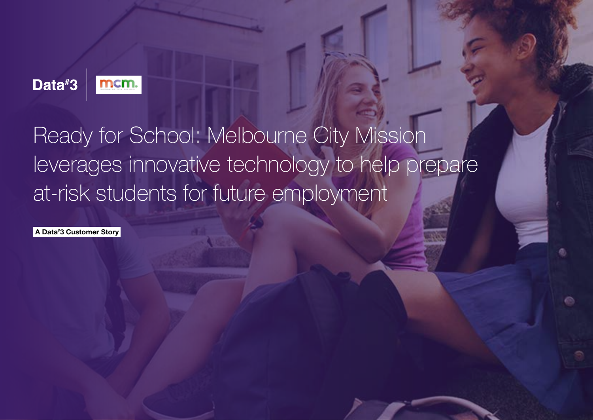

## Ready for School: Melbourne City Mission leverages innovative technology to help prepare at-risk students for future employment

A Data# 3 Customer Story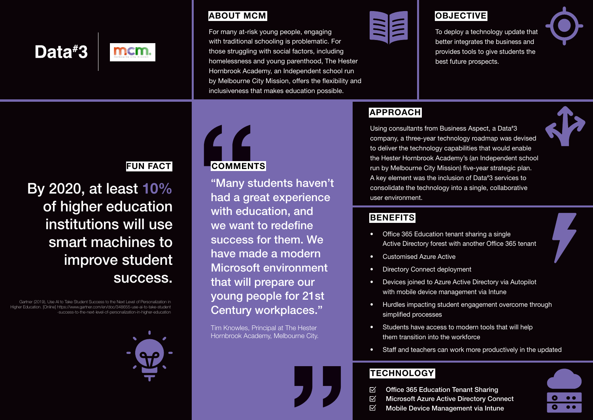

### ABOUT MCM

For many at-risk young people, engaging with traditional schooling is problematic. For those struggling with social factors, including homelessness and young parenthood, The Hester Hornbrook Academy, an Independent school run by Melbourne City Mission, offers the flexibility and inclusiveness that makes education possible.



### **OBJECTIVE**

To deploy a technology update that better integrates the business and provides tools to give students the best future prospects.



### **APPROACH**

Using consultants from Business Aspect, a Data# 3 company, a three-year technology roadmap was devised to deliver the technology capabilities that would enable the Hester Hornbrook Academy's (an Independent school run by Melbourne City Mission) five-year strategic plan. A key element was the inclusion of Data# 3 services to consolidate the technology into a single, collaborative user environment.

### **BENEFITS**

- Office 365 Education tenant sharing a single Active Directory forest with another Office 365 tenant
- Customised Azure Active
- **Directory Connect deployment**
- Devices joined to Azure Active Directory via Autopilot with mobile device management via Intune
- Hurdles impacting student engagement overcome through simplified processes
- Students have access to modern tools that will help them transition into the workforce
- Staff and teachers can work more productively in the updated

### **TECHNOLOGY**

- $\boxtimes$ Office 365 Education Tenant Sharing
- $\overline{\mathsf{M}}$ Microsoft Azure Active Directory Connect
	- 区 Mobile Device Management via Intune



### FUN FACT

By 2020, at least 10% of higher education institutions will use smart machines to improve student success.

Gartner (2019), Use AI to Take Student Success to the Next Level of Personalization in Higher Education. [Online] https://www.gartner.com/en/doc/348655-use-ai-to-take-student -success-to-the-next-level-of-personalization-in-higher-education



# **COMMENTS**

"Many students haven't had a great experience with education, and we want to redefine success for them. We have made a modern Microsoft environment that will prepare our young people for 21st Century workplaces."

Tim Knowles, Principal at The Hester Hornbrook Academy, Melbourne City.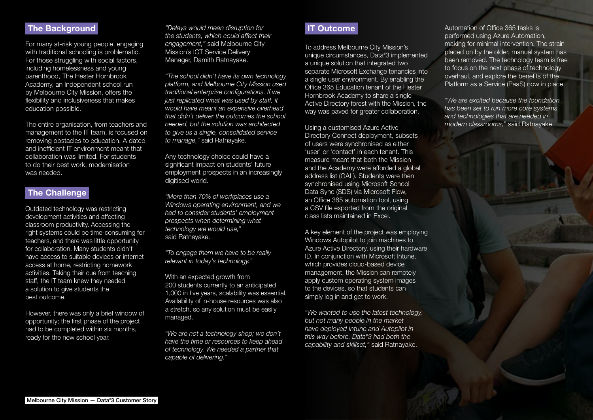### The Background

For many at-risk young people, engaging with traditional schooling is problematic. For those struggling with social factors, including homelessness and young parenthood, The Hester Hornbrook Academy, an Independent school run by Melbourne City Mission, offers the flexibility and inclusiveness that makes education possible.

The entire organisation, from teachers and management to the IT team, is focused on removing obstacles to education. A dated and inefficient IT environment meant that collaboration was limited. For students to do their best work, modernisation was needed.

### **The Challenge**

Outdated technology was restricting development activities and affecting classroom productivity. Accessing the right systems could be time-consuming for teachers, and there was little opportunity for collaboration. Many students didn't have access to suitable devices or internet access at home, restricting homework activities. Taking their cue from teaching staff, the IT team knew they needed a solution to give students the best outcome.

However, there was only a brief window of opportunity; the first phase of the project had to be completed within six months, ready for the new school year.

*"Delays would mean disruption for the students, which could affect their engagement,"* said Melbourne City Mission's ICT Service Delivery Manager, Damith Ratnayake.

*"The school didn't have its own technology platform, and Melbourne City Mission used traditional enterprise configurations. If we just replicated what was used by staff, it would have meant an expensive overhead that didn't deliver the outcomes the school needed, but the solution was architected to give us a single, consolidated service to manage,"* said Ratnayake.

Any technology choice could have a significant impact on students' future employment prospects in an increasingly digitised world.

*"More than 70% of workplaces use a Windows operating environment, and we had to consider students' employment prospects when determining what technology we would use,"*  said Ratnayake.

*"To engage them we have to be really relevant in today's technology."*

With an expected growth from 200 students currently to an anticipated 1,000 in five years, scalability was essential. Availability of in-house resources was also a stretch, so any solution must be easily managed.

*"We are not a technology shop; we don't have the time or resources to keep ahead of technology. We needed a partner that capable of delivering."*

### IT Outcome

To address Melbourne City Mission's unique circumstances, Data# 3 implemented a unique solution that integrated two separate Microsoft Exchange tenancies into a single user environment. By enabling the Office 365 Education tenant of the Hester Hornbrook Academy to share a single Active Directory forest with the Mission, the way was paved for greater collaboration.

Using a customised Azure Active Directory Connect deployment, subsets of users were synchronised as either 'user' or 'contact' in each tenant. This measure meant that both the Mission and the Academy were afforded a global address list (GAL). Students were then synchronised using Microsoft School Data Sync (SDS) via Microsoft Flow, an Office 365 automation tool, using a CSV file exported from the original class lists maintained in Excel.

A key element of the project was employing Windows Autopilot to join machines to Azure Active Directory, using their hardware ID. In conjunction with Microsoft Intune, which provides cloud-based device management, the Mission can remotely apply custom operating system images to the devices, so that students can simply log in and get to work.

*"We wanted to use the latest technology, but not many people in the market have deployed Intune and Autopilot in this way before. Data# 3 had both the capability and skillset,"* said Ratnayake.

Automation of Office 365 tasks is performed using Azure Automation, making for minimal intervention. The strain placed on by the older, manual system has been removed. The technology team is free to focus on the next phase of technology overhaul, and explore the benefits of the Platform as a Service (PaaS) now in place.

*"We are excited because the foundation has been set to run more core systems and technologies that are needed in modern classrooms,"* said Ratnayake.